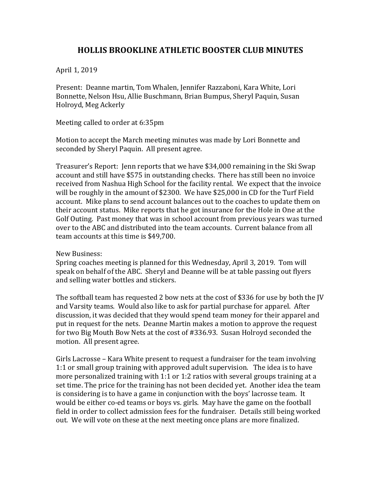## **HOLLIS BROOKLINE ATHLETIC BOOSTER CLUB MINUTES**

April 1, 2019

Present: Deanne martin, Tom Whalen, Jennifer Razzaboni, Kara White, Lori Bonnette, Nelson Hsu, Allie Buschmann, Brian Bumpus, Sheryl Paquin, Susan Holroyd, Meg Ackerly

Meeting called to order at 6:35pm

Motion to accept the March meeting minutes was made by Lori Bonnette and seconded by Sheryl Paquin. All present agree.

Treasurer's Report: Jenn reports that we have \$34,000 remaining in the Ski Swap account and still have \$575 in outstanding checks. There has still been no invoice received from Nashua High School for the facility rental. We expect that the invoice will be roughly in the amount of \$2300. We have \$25,000 in CD for the Turf Field account. Mike plans to send account balances out to the coaches to update them on their account status. Mike reports that he got insurance for the Hole in One at the Golf Outing. Past money that was in school account from previous years was turned over to the ABC and distributed into the team accounts. Current balance from all team accounts at this time is \$49,700.

New Business:

Spring coaches meeting is planned for this Wednesday, April 3, 2019. Tom will speak on behalf of the ABC. Sheryl and Deanne will be at table passing out flyers and selling water bottles and stickers.

The softball team has requested 2 bow nets at the cost of \$336 for use by both the JV and Varsity teams. Would also like to ask for partial purchase for apparel. After discussion, it was decided that they would spend team money for their apparel and put in request for the nets. Deanne Martin makes a motion to approve the request for two Big Mouth Bow Nets at the cost of #336.93. Susan Holroyd seconded the motion. All present agree.

Girls Lacrosse - Kara White present to request a fundraiser for the team involving 1:1 or small group training with approved adult supervision. The idea is to have more personalized training with  $1:1$  or  $1:2$  ratios with several groups training at a set time. The price for the training has not been decided yet. Another idea the team is considering is to have a game in conjunction with the boys' lacrosse team. It would be either co-ed teams or boys vs. girls. May have the game on the football field in order to collect admission fees for the fundraiser. Details still being worked out. We will vote on these at the next meeting once plans are more finalized.